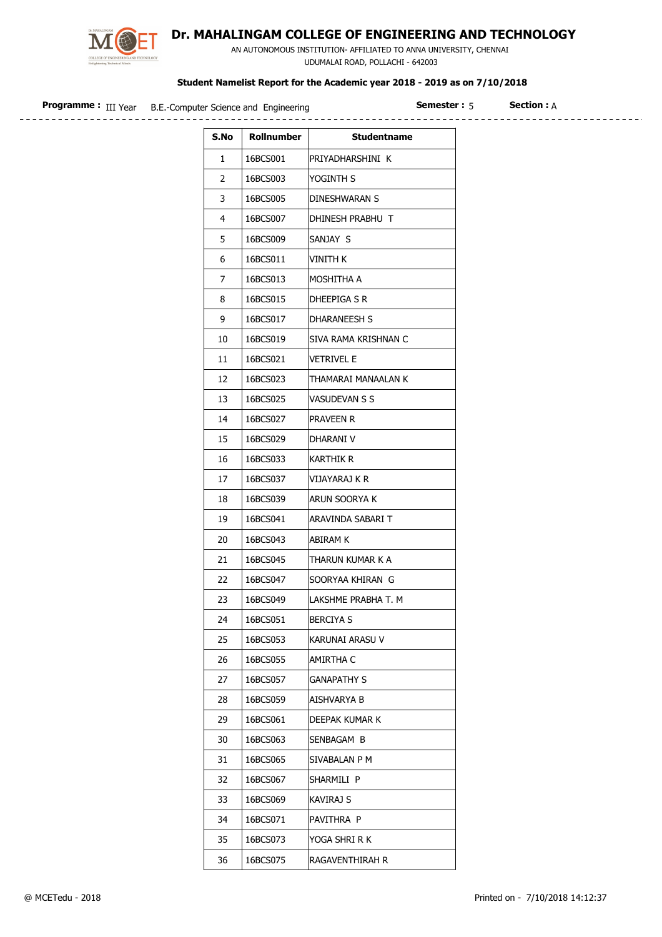

## Dr. MAHALINGAM COLLEGE OF ENGINEERING AND TECHNOLOGY

 AN AUTONOMOUS INSTITUTION- AFFILIATED TO ANNA UNIVERSITY, CHENNAI UDUMALAI ROAD, POLLACHI - 642003

## Student Namelist Report for the Academic year 2018 - 2019 as on 7/10/2018

| <b>Programme:</b> III Year B.E.-Computer Science and Engineering | : emester:د |
|------------------------------------------------------------------|-------------|
|                                                                  |             |

**Semester : 5** Section :  $A$ 

| S.No | Rollnumber | <b>Studentname</b>   |
|------|------------|----------------------|
| 1    | 16BCS001   | PRIYADHARSHINI K     |
| 2    | 16BCS003   | YOGINTH S            |
| 3    | 16BCS005   | DINESHWARAN S        |
| 4    | 16BCS007   | DHINESH PRABHU T     |
| 5    | 16BCS009   | SANJAY S             |
| 6    | 16BCS011   | VINITH K             |
| 7    | 16BCS013   | MOSHITHA A           |
| 8    | 16BCS015   | DHEEPIGA S R         |
| 9    | 16BCS017   | DHARANEESH S         |
| 10   | 16BCS019   | SIVA RAMA KRISHNAN C |
| 11   | 16BCS021   | <b>VETRIVEL E</b>    |
| 12   | 16BCS023   | THAMARAI MANAALAN K  |
| 13   | 16BCS025   | VASUDEVAN S S        |
| 14   | 16BCS027   | Praveen R            |
| 15   | 16BCS029   | DHARANI V            |
| 16   | 16BCS033   | Karthik R            |
| 17   | 16BCS037   | VIJAYARAJ K R        |
| 18   | 16BCS039   | ARUN SOORYA K        |
| 19   | 16BCS041   | ARAVINDA SABARI T    |
| 20   | 16BCS043   | ABIRAM K             |
| 21   | 16BCS045   | THARUN KUMAR K A     |
| 22   | 16BCS047   | SOORYAA KHIRAN G     |
| 23   | 16BCS049   | LAKSHME PRABHA T. M  |
| 24   | 16BCS051   | <b>BERCIYA S</b>     |
| 25   | 16BCS053   | KARUNAI ARASU V      |
| 26   | 16BCS055   | AMIRTHA C            |
| 27   | 16BCS057   | <b>GANAPATHY S</b>   |
| 28   | 16BCS059   | AISHVARYA B          |
| 29   | 16BCS061   | DEEPAK KUMAR K       |
| 30   | 16BCS063   | SENBAGAM B           |
| 31   | 16BCS065   | SIVABALAN P M        |
| 32   | 16BCS067   | SHARMILI P           |
| 33   | 16BCS069   | KAVIRAJ S            |
| 34   | 16BCS071   | PAVITHRA P           |
| 35   | 16BCS073   | yoga shri r k        |
| 36   | 16BCS075   | RAGAVENTHIRAH R      |